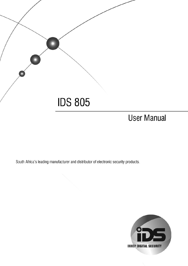

# **User Manual**

South Africa's leading manufacturer and distributor of electronic security products.

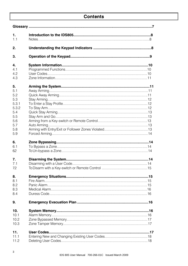# **Contents**

| 1.<br>1.1                   |  |
|-----------------------------|--|
| 2.                          |  |
| 3.                          |  |
| 4.                          |  |
| 4.1<br>4.2<br>4.3           |  |
| 5.                          |  |
| 5.1<br>5.2                  |  |
| 5.3<br>5.3.1                |  |
| 532<br>5.4                  |  |
| 5.5<br>5.6                  |  |
| 5.7<br>5.8<br>5.9           |  |
| 6.                          |  |
| 6.1<br>62                   |  |
| 7.                          |  |
| 7.1<br>72                   |  |
| 8.<br>8.1                   |  |
| 8.2<br>8.3                  |  |
| 84                          |  |
| 9.                          |  |
| 10.<br>10.1<br>10.2<br>10.3 |  |
|                             |  |
| 11.<br>11.1<br>11.2         |  |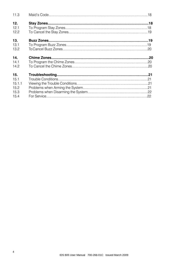| 11.3   |  |
|--------|--|
| 12.    |  |
| 121    |  |
| 12.2   |  |
| 13.    |  |
| 13.1   |  |
| 13.2   |  |
| 14.    |  |
| 14.1   |  |
| 142    |  |
| 15.    |  |
| 151    |  |
| 15.1.1 |  |
| 15.2   |  |
| 15.3   |  |
| 15.4   |  |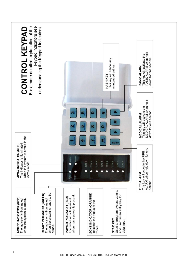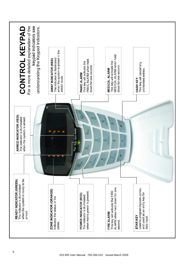| when the system is ready to be<br>READY INDICATOR (GREEN)<br>The indicator is illuminated<br>armed. | ARMED INDICATOR (RED)<br>The indicator is illuminated<br>when the system is armed. | For a more detailed explanation of the<br>CONTROL KEYPAD                                              |
|-----------------------------------------------------------------------------------------------------|------------------------------------------------------------------------------------|-------------------------------------------------------------------------------------------------------|
|                                                                                                     |                                                                                    | keypad indicators see<br>understanding the Keypad Indicators.                                         |
| ZONE INDICATOR (ORANGE)<br>indicates the status of the<br>zones.                                    |                                                                                    | when the system is armed in the<br>The indicator is illuminated<br>AWAY INDICATOR (RED)<br>AWAY mode. |
| when mains power is present.<br>POWER INDICATOR (RED)<br>The indicator is illuminated               | Pwr Rdy Arm Away<br>$\frac{1}{2}$<br>2                                             | PANIC ALARM when held<br>This key will activate the<br>down for one second.<br>PANIC ALARM            |
| ALARM when held down for one<br>This key will activate the FIRE<br>FIRE ALARM<br>second.            | তে<br>$\sigma$<br>S<br>$\infty$                                                    | MEDICAL ALARM when held<br>This key will activate the<br>down for one second.<br><b>MEDICAL ALARM</b> |
| Used to program bypass zones,<br>and used as an entry key for<br><b>STARKEY</b><br>data input.      |                                                                                    | This key will cancel any<br>unintended entries.<br>HASH KEY                                           |
|                                                                                                     |                                                                                    |                                                                                                       |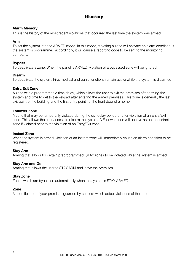#### <span id="page-6-0"></span>**Alarm Memory**

This is the history of the most recent violations that occurred the last time the system was armed.

#### **Arm**

To set the system into the ARMED mode. In this mode, violating a zone will activate an alarm condition. If the system is programmed accordingly, it will cause a reporting code to be sent to the monitoring company.

#### **Bypass**

To deactivate a zone. When the panel is ARMED, violation of a bypassed zone will be ignored.

#### **Disarm**

To deactivate the system. Fire, medical and panic functions remain active while the system is disarmed.

#### **Entry/Exit Zone**

A zone with a programmable time delay, which allows the user to exit the premises after arming the system and time to get to the keypad after entering the armed premises. This zone is generally the last exit point of the building and the first entry point i.e. the front door of a home.

#### **Follower Zone**

A zone that may be temporarily violated during the exit delay period or after violation of an Entry/Exit zone. This allows the user access to disarm the system. A Follower zone will behave as per an Instant zone if violated prior to the violation of an Entry/Exit zone.

#### **Instant Zone**

When the system is armed, violation of an Instant zone will immediately cause an alarm condition to be registered.

#### **Stay Arm**

Arming that allows for certain preprogrammed, STAY zones to be violated while the system is armed.

#### **Stay Arm and Go**

Arming that allows the user to STAY ARM and leave the premises.

#### **Stay Zone**

Zones which are bypassed automatically when the system is STAY ARMED.

#### **Zone**

A specific area of your premises guarded by sensors which detect violations of that area.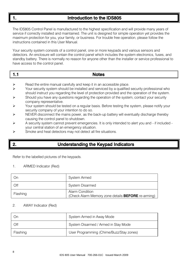<span id="page-7-0"></span>

# Introduction to the IDS805

The IDS805 Control Panel is manufactured to the highest specification and will provide many years of service if correctly installed and maintained. The unit is designed for simple operation yet provides the maximum protection for you, your family, or business. For trouble free operation, please follow the instructions contained in this User Manual.

Your security system consists of a control panel, one or more keypads and various sensors and detectors. An enclosure will contain the control panel which includes the system electronics, fuses, and standby battery. There is normally no reason for anyone other than the installer or service professional to have access to the control panel.

|--|

- $\triangleright$  Read the entire manual carefully and keep it in an accessible place.
- $\triangleright$  Your security system should be installed and serviced by a qualified security professional who should instruct you regarding the level of protection provided and the operation of the system.
- $\triangleright$  Should you have any questions regarding the operation of the system, contact your security company representative.
- $\triangleright$  Your system should be tested on a regular basis. Before testing the system, please notify your security company of your intention to do so.
- $\triangleright$  NEVER disconnect the mains power, as the back-up battery will eventually discharge thereby causing the control panel to shutdown.
- $\triangleright$  A security system cannot prevent emergencies. It is only intended to alert you and if included your central station of an emergency situation.
- Smoke and heat detectors may not detect all fire situations.

# <span id="page-7-1"></span>2. Understanding the Keypad Indicators

<span id="page-7-2"></span>Refer to the labelled pictures of the keypads.

#### 1. ARMED Indicator (Red)

| On       | System Armed                                                                        |
|----------|-------------------------------------------------------------------------------------|
| Off      | System Disarmed                                                                     |
| Flashing | <b>Alarm Condition</b><br>(Check Alarm Memory zone details <b>BEFORE</b> re-arming) |

#### 2. AWAY Indicator (Red)

| Οn       | System Armed in Away Mode                |
|----------|------------------------------------------|
| Off      | System Disarmed / Armed in Stay Mode     |
| Flashing | User Programming (Chime/Buzz/Stay zones) |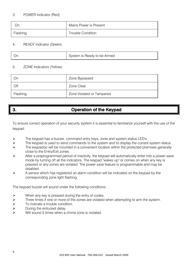### 3. POWER Indicator (Red)

| Or       | Mains Power is Present |
|----------|------------------------|
| Flashing | Trouble Condition      |

### 4. READY Indicator (Green)

|  |  | System is Ready to be Armed |
|--|--|-----------------------------|
|--|--|-----------------------------|

#### 5. ZONE Indicators (Yellow)

| On       | Zone Bypassed             |
|----------|---------------------------|
| Off      | Zone Clear                |
| Flashing | Zone Violated or Tampered |

# 3. Operation of the Keypad

To ensure correct operation of your security system it is essential to familiarize yourself with the use of the keypad.

- $\triangleright$  The keypad has a buzzer, command entry keys, zone and system status LED's.
- $\triangleright$  The keypad is used to send commands to the system and to display the current system status.<br>The keypad(s) will be mounted in a convenient location within the protected premises generally
- The keypad(s) will be mounted in a convenient location within the protected premises generally close to the Entry/Exit zones.
- $\triangleright$  After a preprogrammed period of inactivity, the keypad will automatically enter into a power-save mode by turning off all the indicators. The keypad "wakes up" or comes on when any key is pressed or any zones are violated. The power save feature is programmable and may be disabled.
- $\triangleright$  A sensor which has registered an alarm condition will be indicated on the keypad by the corresponding zone light flashing.

The keypad buzzer will sound under the following conditions.

- $\triangleright$  When any key is pressed during the entry of codes.
- $\triangleright$  Three times if one or more of the zones are violated when attempting to arm the system.
- $\triangleright$  To indicate a trouble condition.<br>  $\triangleright$  During the entry/exit delay.
- During the entry/exit delay.
- Will sound 5 times when a chime zone is violated.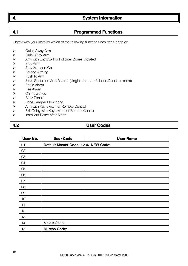IDS 805 User Manual 700-266-01C Issued March 2009

# 4. System Information

# 4.1 Programmed Functions

Check with your installer which of the following functions has been enabled.

- > Quick Away Arm<br>> Quick Stay Arm
- 
- → Quick Stay Arm<br>
→ Arm with Entry/E<br>
→ Stay Arm<br>
Stay Arm and G<br>
Forced Arming<br>
Push to Arm<br>
→ Siren Sound on<br>
→ Panic Alarm<br>
Fire Alarm<br>
→ Chime Zones<br>
→ Zone Tamper M<br>
→ Arm with Key-sv<br>
→ Exit Delay with F Arm with Entry/Exit or Follower Zones Violated
- Stay Arm
- Stay Arm and Go
- Forced Arming
- Push to Arm
- Siren Sound on Arm/Disarm (single toot arm/ double2 toot disarm)
- Panic Alarm
- Fire Alarm
- <span id="page-9-0"></span>Chime Zones
- Buzz Zones
- Zone Tamper Monitoring
- Arm with Key-switch or Remote Control
- $\triangleright$  Exit Delay with Key-switch or Remote Control<br>  $\triangleright$  Installers Reset after Alarm
- Installers Reset after Alarm

# 4.2 User Codes

| User No. | <b>User Code</b>                    | <b>User Name</b> |
|----------|-------------------------------------|------------------|
| 01       | Default Master Code: 1234 NEW Code: |                  |
| 02       |                                     |                  |
| 03       |                                     |                  |
| 04       |                                     |                  |
| 05       |                                     |                  |
| 06       |                                     |                  |
| 07       |                                     |                  |
| 08       |                                     |                  |
| 09       |                                     |                  |
| 10       |                                     |                  |
| 11       |                                     |                  |
| 12       |                                     |                  |
| 13       |                                     |                  |
| 14       | Maid's Code:                        |                  |
| 15       | <b>Duress Code:</b>                 |                  |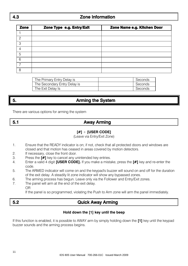# 4.3 Zone Information

| Zone           | Zone Type e.g. Entry/Exit | Zone Name e.g. Kitchen Door |
|----------------|---------------------------|-----------------------------|
|                |                           |                             |
| $\mathcal{P}$  |                           |                             |
| 3              |                           |                             |
| $\overline{4}$ |                           |                             |
| 5              |                           |                             |
| 6              |                           |                             |
|                |                           |                             |
| 8              |                           |                             |

| The Primary Entry Delay is   | Seconds |
|------------------------------|---------|
| The Secondary Entry Delay is | Seconds |
| The Exit Delay Is            | Seconds |

# 5. Arming the System

There are various options for arming the system

| ۰. |  |  |  |
|----|--|--|--|
| ٧  |  |  |  |

# 5.1 Away Arming

### **[#]** + **[USER CODE]**

(Leave via Entry/Exit Zone)

- 1. Ensure that the READY indicator is on; if not, check that all protected doors and windows are closed and that motion has ceased in areas covered by motion detectors.
- 2. If necessary, close the front door.
- 3. Press the **[#]** key to cancel any unintended key entries.
- 4. Enter a valid 4 digit **[USER CODE].** If you make a mistake, press the **[#]** key and re-enter the code.
- 5. The ARMED indicator will come on and the keypad's buzzer will sound on and off for the duration of the exit delay. A steadily lit zone indicator will show any bypassed zones.
- 6. The arming process has begun. Leave only via the Follower and Entry/Exit zones.
- 7. The panel will arm at the end of the exit delay. OR

If the panel is so programmed, violating the Push to Arm zone will arm the panel immediately.

# 5.2 Quick Away Arming

#### **Hold down the [1] key until the beep**

If this function is enabled, it is possible to AWAY arm by simply holding down the **[1]** key until the keypad buzzer sounds and the arming process begins.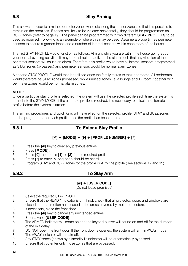# 5.3 Stay Arming

This allows the user to arm the perimeter zones while disabling the interior zones so that it is possible to remain on the premises. If zones are likely to be violated accidentally, they should be programmed as BUZZ zones (refer to page 19). The panel can be programmed with two different **STAY PROFILES** to be used as required. Following is an example of where this may be used. Assume a property has perimeter sensors to secure a garden fence and a number of internal sensors within each room of the house.

The first STAY PROFILE would function as follows: At night while you are within the house going about your normal evening activities it may be desirable to activate the alarm such that any violation of the perimeter sensors will cause an alarm. Therefore, this profile would have all internal sensors programmed as STAY zones (bypassed) and perimeter sensors would be normal alarm zones.

A second STAY PROFILE would then be utilised once the family retires to their bedrooms. All bedrooms would therefore be STAY zones (bypassed) while unused zones i.e. a lounge and TV room, together with perimeter zones would be normal alarm zones.

### **NOTE:**

Once a particular stay profile is selected, the system will use the selected profile each time the system is armed into the STAY MODE. If the alternate profile is required, it is necessary to select the alternate profile before the system is armed.

The arming procedures and quick keys will have effect on the selected profile. STAY and BUZZ zones can be programmed for each profile once the profile has been entered.

# 5.3.1 To Enter a Stay Profile

### **[#] + [MODE] + [9] + [PROFILE NUMBER] + [\*]**

- 1. Press the **[#]** key to clear any previous entries.
- 2. Press **[MODE].**
- 3. Press **[9]** then press **[1]** or **[2]** for the required profile.
- 4. Press [\*] to enter. A long beep should be heard.
- 5. Program STAY and BUZZ zones for the profile or ARM the profile (See sections 12 and 13).

# 5.3.2 To Stay Arm

### **[#] + [USER CODE]**

(Do not leave premises)

- 1. Select the required STAY PROFILE.
- 2. Ensure that the READY indicator is on; if not, check that all protected doors and windows are closed and that motion has ceased in the areas covered by motion detectors.
- 3. If necessary, close the front door.
- 4. Press the **[#]** key to cancel any unintended entries.
- 5. Enter a valid **[USER CODE].**
- 6. The ARMED indicator will come on and the keypad buzzer will sound on and off for the duration of the exit delay.
- 7. DO NOT open the front door. If the front door is opened, the system will arm in AWAY mode.
- 8. The AWAY indicator will remain off.
- 9. Any STAY zones (shown by a steadily lit indicator) will be automatically bypassed.
- 10. Ensure that you enter only those zones that are bypassed.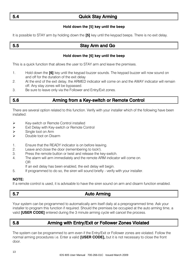# 5.4 Quick Stay Arming

### **Hold down the [5] key until the beep**

It is possible to STAY arm by holding down the **[5]** key until the keypad beeps. There is no exit delay.

# 5.5 Stay Arm and Go

#### **Hold down the [6] key until the beep**

This is a quick function that allows the user to STAY arm and leave the premises.

- 1. Hold down the **[6]** key until the keypad buzzer sounds. The keypad buzzer will now sound on and off for the duration of the exit delay
- 2. At the end of the exit delay, the ARMED indicator will come on and the AWAY indicator will remain off. Any stay zones will be bypassed.
- 3. Be sure to leave only via the Follower and Entry/Exit zones.

# 5.6 Arming from a Key-switch or Remote Control

There are several option related to this function. Verify with your installer which of the following have been installed:

- Exter-switch or Remote Control installed
- Exit Delay with Key-switch or Remote Control
- $\triangleright$  Single toot on Arm
- $\triangleright$  Double toot on Disarm
- 1. Ensure that the READY indicator is on before leaving.
- 2. Leave and close the door (remembering to lock!).
- 3. Press the remote button or twist and release the key-switch.
- 4. The alarm will arm immediately and the remote ARM indicator will come on. OR

If an exit delay has been enabled, the exit delay will begin.

5. If programmed to do so, the siren will sound briefly - verify with your installer.

#### **NOTE:**

If a remote control is used, it is advisable to have the siren sound on arm and disarm function enabled.

# 5.7 Auto Arming

Your system can be programmed to automatically arm itself daily at a preprogrammed time. Ask your installer to program this function if required. Should the premises be occupied at the auto arming time, a valid **[USER CODE]** entered during the 3 minute arming cycle will cancel the process.

# 5.8 Arming with Entry/Exit or Follower Zones Violated

The system can be programmed to arm even if the Entry/Exit or Follower zones are violated. Follow the normal arming procedures i.e. Enter a valid **[USER CODE],** but it is not necessary to close the front door.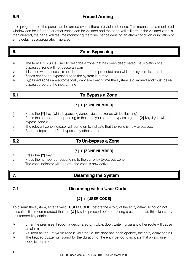# 5.9 Forced Arming

If so programmed, the panel can be armed even if there are violated zones. This means that a monitored window can be left open or other zones can be violated and the panel will still arm. If the violated zone is then cleared, the panel will resume monitoring the zone, hence causing an alarm condition or initiation of entry delay, as appropriate, if violated.

# 6. Zone Bypassing

- The term BYPASS is used to describe a zone that has been deactivated; i.e. violation of a bypassed zone will not cause an alarm.
- It is used when access is needed to part of the protected area while the system is armed.
- $\triangleright$  Zones cannot be bypassed once the system is armed.
- Bypassed zones are automatically cancelled each time the system is disarmed and must be rebypassed before the next arming.

# 6.1 To Bypass a Zone

### **[\*] + [ZONE NUMBER]**

- 1. Press the **[**\***]** key (while bypassing zones, violated zones will be flashing).
- 2. Press the number corresponding to the zone you need to bypass e.g. the **[2]** key if you wish to bypass zone 2.
- 3. The relevant zone indicator will come on to indicate that the zone is now bypassed.
- 4. Repeat steps 1 and 2 to bypass any other zones.

# 6.2 To Un-bypass a Zone

### **[\*] + [ZONE NUMBER]**

- 1. Press the **[\*]** key.
- 2. Press the number corresponding to the currently bypassed zone
- 3. The zone indicator will turn off the zone is now active.

# 7. Disarming the System

# 7.1 Disarming with a User Code

### **[#] + [USER CODE]**

To disarm the system, enter a valid **[USER CODE]** before the expiry of the entry delay. Although not essential, it is recommended that the **[#]** key be pressed before entering a user code as this clears any unintended key entries.

- $\triangleright$  Enter the premises through a designated Entry/Exit door. Entering via any other route will cause an alarm.
- As soon as the Entry/Exit zone is violated i.e. the door has been opened, the entry delay begins.
- The keypad buzzer will sound for the duration of the entry period to indicate that a valid user code is required.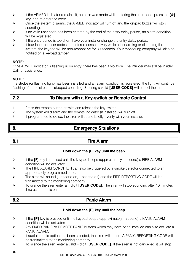- If the ARMED indicator remains lit, an error was made while entering the user code, press the **[#]**  key, and re-enter the code.
- $\triangleright$  Once the system disarms, the ARMED indicator will turn off and the keypad buzzer will stop sounding.
- $\triangleright$  If no valid user code has been entered by the end of the entry delay period, an alarm condition will be registered.
- If the entry period is too short, have your installer change the entry delay period.
- $\triangleright$  If four incorrect user codes are entered consecutively while either arming or disarming the system, the keypad will be non-responsive for 30 seconds. Your monitoring company will also be notified on a keypad tamper.

#### **NOTE:**

If the ARMED indicator is flashing upon entry, there has been a violation. The intruder may still be inside! Call for assistance.

#### **NOTE:**

If a strobe (or flashing light) has been installed and an alarm condition is registered, the light will continue flashing after the siren has stopped sounding. Entering a valid **[USER CODE]** will cancel the strobe.

# 7.2 To Disarm with a Key-switch or Remote Control

- 1. Press the remote button or twist and release the key-switch.
- 2. The system will disarm and the remote indicator (if installed) will turn off.
- 3. If programmed to do so, the siren will sound briefly verify with your installer.

# 8. Emergency Situations

# 8.1 **Fire Alarm**

### **Hold down the [F] key until the beep**

- If the **[F]** key is pressed until the keypad beeps (approximately 1 second) a FIRE ALARM condition will be activated.
- The FIRE ALARM CONDITION can also be triggered by a smoke detector connected to an appropriately programmed zone.
- $\triangleright$  The siren will sound (1 second on, 1 second off) and the FIRE REPORTING CODE will be transmitted to the monitoring company.
- To silence the siren enter a 4 digit **[USER CODE].** The siren will stop sounding after 10 minutes if no user code is entered.

# 8.2 **Panic Alarm**

#### **Hold down the [P] key until the beep**

- If the **[P]** key is pressed until the keypad beeps (approximately 1 second) a PANIC ALARM condition will be activated.
- $\triangleright$  Any FIXED PANIC or REMOTE PANIC buttons which may have been installed can also activate a PANIC AI ARM.
- $\triangleright$  If audible panic option has been selected, the siren will sound. A PANIC REPORTING CODE will be transmitted to the monitoring company.
- To silence the siren, enter a valid 4 digit **[USER CODE].** If the siren is not cancelled, it will stop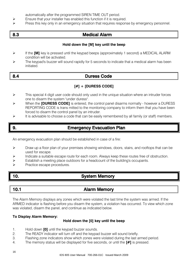automatically after the programmed SIREN TIME OUT period.

- Ensure that your installer has enabled this function if it is required.<br>
Press this key only in an emergency situation that requires respon-
- Press this key only in an emergency situation that requires response by emergency personnel.

# 8.3 Medical Alarm

#### **Hold down the [M] key until the beep**

- If the **[M]** key is pressed until the keypad beeps (approximately 1 second) a MEDICAL ALARM condition will be activated.
- $\triangleright$  The keypad's buzzer will sound rapidly for 5 seconds to indicate that a medical alarm has been initiated.

# 8.4 Duress Code

### **[#] + [DURESS CODE]**

- $\triangleright$  This special 4 digit user code should only used in the unique situation where an intruder forces one to disarm the system "under duress".
- When the **[DURESS CODE]** is entered, the control panel disarms normally however a DURESS REPORTING CODE is trans mitted to the monitoring company to inform them that you have been forced to disarm the control panel by an intruder.
- $\triangleright$  It is advisable to choose a code that can be easily remembered by all family (or staff) members.

# 9. Emergency Evacuation Plan

An emergency evacuation plan should be established in case of a fire:

- $\triangleright$  Draw up a floor plan of your premises showing windows, doors, stairs, and rooftops that can be used for escape.
- $\triangleright$  Indicate a suitable escape route for each room. Always keep these routes free of obstruction.
- $\triangleright$  Establish a meeting place outdoors for a headcount of the building's occupants.
- Practice escape procedures.

# 10. System Memory

# 10.1 **Alarm Memory**

The Alarm Memory displays any zones which were violated the last time the system was armed. If the ARMED indicator is flashing before you disarm the system, a violation has occurred. To view which zone was violated, disarm the panel, and continue as indicated below.

### **To Display Alarm Memory:**

### **Hold down the [0] key until the beep**

- 1. Hold down **[0]** until the keypad buzzer sounds.
- 2. The READY indicator will turn off and the keypad buzzer will sound briefly.
- 3. Flashing zone indicators show which zones were violated during the last armed period.
- 4. The memory status will be displayed for five seconds, or until the **[#]** is pressed.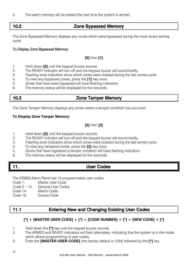5. The alarm memory will be erased the next time the system is armed.

# 10.2 Zone Bypassed Memory

The Zone Bypassed Memory displays any zones which were bypassed during the most recent arming cycle.

### To Display Zone Bypassed Memory:

### **[0]** then **[1]**

- 1. Hold down **[0]** until the keypad buzzer sounds.
- The READY indicator will turn off and the keypad buzzer will sound briefly.
- 3. Flashing zone indicators show which zones were violated during the last armed cycle.
- 4. To view any bypassed zones, press the **[1]** key once.
- 5. Zones that have been bypassed will have flashing indicators.
- 6. The memory status will be displayed for five seconds.

# 10.3 Zone Tamper Memory

The Zone Tamper Memory displays any zones where a tamper condition has occurred.

#### **To Display Zone Tamper Memory:**

### **[0]** then **[2]**

- 1. Hold down **[0]** until the keypad buzzer sounds.
- 2. The READY indicator will turn off and the keypad buzzer will sound briefly.
- 3. Flashing zone indicators show which zones were violated during the last armed cycle.
- 4. To view any tampered zones, press the **[2]** key once.
- 5. Zones that have registered a tamper condition will have flashing indicators.
- 6. The memory status will be displayed for five seconds.

# 11. User Codes

The IDS805 Alarm Panel has 15 programmable user codes.

- Code 1: Master User Code
- Code 2 13: General User Codes
- Code 14: Maid's Code
- Code 15: Duress Code

# 11.1 Entering New and Changing Existing User Codes

### **[\*] + [MASTER USER CODE] + [\*] + [CODE NUMBER] + [\*] + [NEW CODE] + [\*]**

- 1. Hold down the **[\*]** key until the keypad buzzer sounds.
- 2. The ARMED and READY indicators will flash alternately, indicating that the system is in the mode which allows programming of user codes.
- 3. Enter the **[MASTER USER CODE]** (the factory default is 1234) followed by the **[\*]** key.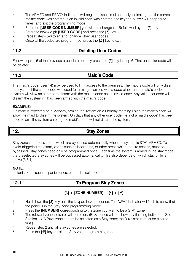- 4. The ARMED and READY indicators will begin to flash simultaneously indicating that the correct master code was entered. If an invalid code was entered, the keypad buzzer will beep three times, and exit the programming mode.
- 5. Enter the **[USER CODE NUMBER]** you wish to change (1-15) followed by the **[\*]** key.
- 6. Enter the new 4 digit **[USER CODE]** and press the **[\*]** key.
- 7. Repeat steps 5-6 to enter or change other user codes.
- 8. Once all the codes are programmed, press the **[#]** key to exit.

# 11.2 Deleting User Codes

Follow steps 1-5 of the previous procedure but only press the **[\*]** key in step 6. That particular code will be deleted.

# 11.3 Maid's Code

The maid's code (user 14) may be used to limit access to the premises. The maid's code will only disarm the system if the same code was used for arming. If armed with a code other than a maid's code, the system will view an attempt to disarm with the maid's code as an invalid entry. Any valid user code will disarm the system if it has been armed with the maid's code.

### **EXAMPLE:**

If a maid is expected on a Monday, arming the system on a Monday morning using the maid's code will allow the maid to disarm the system. On days that any other user code (i.e. not a maid's code) has been used to arm the system entering the maid's code will not disarm the system.

# 12. Stay Zones

Stay zones are those zones which are bypassed automatically when the system is STAY ARMED. To avoid triggering the alarm, zones such as bedrooms, or other areas which require access, must be bypassed. Stay zones need only be programmed once. Each time the system is armed in the stay mode the preselected stay zones will be bypassed automatically. This also depends on which stay prifle is active (5.3.1).

### **NOTE:**

Instant zones, such as panic zones, cannot be selected.

# 12.1 To Program Stay Zones

### **[3] + [ZONE NUMBER] + [\*] + [#]**

- 1. Hold down the **[3]** key until the keypad buzzer sounds. The AWAY indicator will flash to show that the panel is in the Stay Zone programming mode.
- 2. Press the **[NUMBER]** corresponding to the zone you wish to be a STAY zone.
- 3. The relevant zone indicator will come on. (Buzz zones will be shown by flashing indicators. See Section 13. A Buzz zone cannot be selected as a Stay zone; the Buzz status must be cleared first.)
- 4. Repeat step 2 until all stay zones are selected.
- 5. Press the **[#]** key to exit the Stay zone programming mode.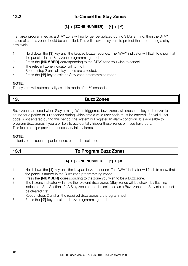# 12.2 To Cancel the Stay Zones

### **[3] + [ZONE NUMBER] + [\*] + [#]**

If an area programmed as a STAY zone will no longer be violated during STAY arming, then the STAY status of such a zone should be cancelled. This will allow the system to protect that area during a stay arm cycle.

- 1. Hold down the **[3]** key until the keypad buzzer sounds. The AWAY indicator will flash to show that the panel is in the Stay zone programming mode.
- 2. Press the **[NUMBER]** corresponding to the STAY zone you wish to cancel.
- 3. The relevant zone indicator will turn off.
- 4. Repeat step 2 until all stay zones are selected.
- 5. Press the **[#]** key to exit the Stay zone programming mode.

#### **NOTE:**

The system will automatically exit this mode after 60 seconds.

# 13. Buzz Zones

Buzz zones are used when Stay arming. When triggered, buzz zones will cause the keypad buzzer to sound for a period of 30 seconds during which time a valid user code must be entered. If a valid user code is not entered during this period, the system will register an alarm condition. It is advisable to program Buzz zones if you are likely to accidentally trigger these zones or if you have pets. This feature helps prevent unnecessary false alarms.

#### **NOTE:**

Instant zones, such as panic zones, cannot be selected.

# 13.1 To Program Buzz Zones

### **[4] + [ZONE NUMBER] + [\*] + [#]**

- 1. Hold down the **[4]** key until the keypad buzzer sounds. The AWAY indicator will flash to show that the panel is armed in the Buzz zone programming mode.
- 2. Press the **[NUMBER]** corresponding to the zone you wish to be a Buzz zone.
- 3. The lit zone indicator will show the relevant Buzz zone. (Stay zones will be shown by flashing indicators. See Section 12. A Stay zone cannot be selected as a Buzz zone; the Stay status must be cleared first).
- 4. Repeat steps 2 until all the required Buzz zones are programmed.
- 5. Press the **[#]** key to exit the buzz programming mode.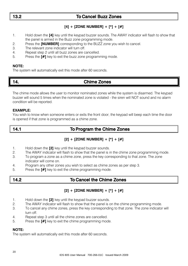# 13.2 To Cancel Buzz Zones

# **[4] + [ZONE NUMBER] + [\*] + [#]**

- 1. Hold down the **[4]** key until the keypad buzzer sounds. The AWAY indicator will flash to show that the panel is armed in the Buzz zone programming mode.
- 2. Press the **[NUMBER]** corresponding to the BUZZ zone you wish to cancel.
- 3. The relevant zone indicator will turn off.
- 4. Repeat step 2 until all buzz zones are cancelled.
- 5. Press the **[#]** key to exit the buzz zone programming mode.

### **NOTE:**

The system will automatically exit this mode after 60 seconds.

# 14. Chime Zones

The chime mode allows the user to monitor nominated zones while the system is disarmed. The keypad buzzer will sound 5 times when the nominated zone is violated - the siren will NOT sound and no alarm condition will be reported.

### **EXAMPLE:**

You wish to know when someone enters or exits the front door; the keypad will beep each time the door is opened if that zone is programmed as a chime zone.

# 14.1 To Program the Chime Zones

### **[2] + [ZONE NUMBER] + [\*] + [#]**

- 1. Hold down the **[2]** key until the keypad buzzer sounds.
- 2. The AWAY indicator will flash to show that the panel is in the chime zone programming mode.
- 3. To program a zone as a chime zone, press the key corresponding to that zone. The zone indicator will come on.
- 4. Program any other zones you wish to select as chime zones as per step 3.
- 5. Press the **[#]** key to exit the chime programming mode.

# 14.2 To Cancel the Chime Zones

### **[2] + [ZONE NUMBER] + [\*] + [#]**

- 1. Hold down the **[2]** key until the keypad buzzer sounds.
- 2. The AWAY indicator will flash to show that the panel is on the chime programming mode.
- 3. To cancel any chime zones, press the key corresponding to that zone. The zone indicator will turn off.
- 4. Repeat step 3 until all the chime zones are cancelled.
- 5. Press the **[#]** key to exit the chime programming mode.

### **NOTE:**

The system will automatically exit this mode after 60 seconds.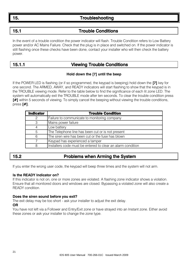# 15. Troubleshooting

# 15.1 Trouble Conditions

In the event of a trouble condition the power indicator will flash. Trouble Condition refers to Low Battery power and/or AC Mains Failure. Check that the plug is in place and switched on. If the power indicator is still flashing once these checks have been done, contact your installer who will then check the battery power.

# 15.1.1 Viewing Trouble Conditions

### **Hold down the [7] until the beep**

If the POWER LED is flashing (or if so programmed, the keypad is beeping) hold down the **[7]** key for one second. The ARMED, AWAY, and READY indicators will start flashing to show that the keypad is in the TROUBLE viewing mode. Refer to the table below to find the significance of each lit zone LED. The system will automatically exit the TROUBLE mode after ten seconds. To clear the trouble condition press **[#]** within 5 seconds of viewing. To simply cancel the beeping without viewing the trouble conditions, press **[#]**.

| <b>Indicator</b> | <b>Trouble Condition</b>                                    |
|------------------|-------------------------------------------------------------|
| 2                | Failure to communicate to monitoring company                |
| 3                | Mains power failure                                         |
|                  | Low battery                                                 |
| 5                | The Telephone line has been cut or is not present           |
| 6                | The siren wire has been cut or the fuse has blown           |
|                  | Keypad has experienced a tamper                             |
| R                | Installers code must be entered to clear an alarm condition |

# 15.2 Problems when Arming the System

If you enter the wrong user code, the keypad will beep three times and the system will not arm.

#### **Is the READY Indicator on?**

If this indicator is not on, one or more zones are violated. A flashing zone indicator shows a violation. Ensure that all monitored doors and windows are closed. Bypassing a violated zone will also create a READY condition.

#### **Does the siren sound before you exit?**

The exit delay may be too short - ask your installer to adjust the exit delay.

#### **OR**

You have not left via a Follower and Entry/Exit zone or have strayed into an Instant zone. Either avoid these zones or ask your installer to change the zone type.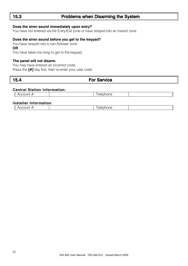# 15.3 Problems when Disarming the System

#### **Does the siren sound immediately upon entry?**

You have not entered via the Entry/Exit zone or have strayed into an Instant zone.

#### **Does the siren sound before you get to the keypad?**

You have strayed into a non-follower zone

**OR**

You have taken too long to get to the keypad.

#### **The panel will not disarm.**

You may have entered an incorrect code. Press the **[#]** key first, then re-enter your user code.

# 15.4 For Service

### **Central Station Information:**

| Ωü<br>.<br>ᅐ<br>77 | $\sim$<br>_<br>31.<br>поп∈<br>-11 |  |
|--------------------|-----------------------------------|--|
|                    |                                   |  |

#### **Installer Information**

| $\mathbf{m}$       | ıone  |
|--------------------|-------|
| $\Lambda$ cco      | elepr |
| <del>ำ</del> งบบนแ |       |
|                    |       |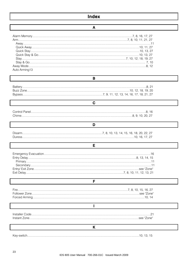#### A

#### $\mathbf{B}$

# Chime 8 9 10 20 27

### D

 $\mathbf{C}$ 

| Disarm |  |  |  |  |
|--------|--|--|--|--|
| Duress |  |  |  |  |

### E

# $\overline{1}$ K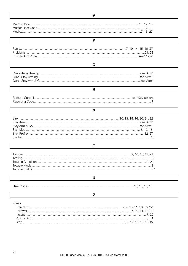| P              |  |
|----------------|--|
|                |  |
|                |  |
|                |  |
|                |  |
| Q              |  |
|                |  |
|                |  |
|                |  |
| R              |  |
|                |  |
|                |  |
|                |  |
| s              |  |
|                |  |
|                |  |
|                |  |
|                |  |
|                |  |
|                |  |
|                |  |
|                |  |
| т              |  |
|                |  |
|                |  |
|                |  |
|                |  |
|                |  |
| U              |  |
|                |  |
| $\overline{z}$ |  |
| Zones          |  |
|                |  |
|                |  |
|                |  |
|                |  |

 $\overline{M}$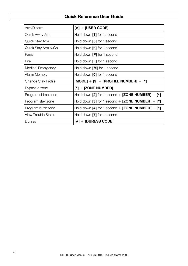# Quick Reference User Guide

| Arm/Disarm                 | $[#] +$ [USER CODE]                              |
|----------------------------|--------------------------------------------------|
| Quick Away Arm             | Hold down [1] for 1 second                       |
| Quick Stay Arm             | Hold down [5] for 1 second                       |
| Quick Stay Arm & Go        | Hold down [6] for 1 second                       |
| Panic                      | Hold down <b>[P]</b> for 1 second                |
| Fire                       | Hold down <b>[F]</b> for 1 second                |
| Medical Emergency          | Hold down [M] for 1 second                       |
| Alarm Memory               | Hold down [0] for 1 second                       |
| Change Stay Profile        | $[MODE] + [9] + [PROFILE NUMBER] + [*]$          |
| Bypass a zone              | $\lceil * \rceil$ + [ZONE NUMBER]                |
| Program chime zone         | Hold down [2] for 1 second + [ZONE NUMBER] + [*] |
| Program stay zone          | Hold down [3] for 1 second + [ZONE NUMBER] + [*] |
| Program buzz zone          | Hold down [4] for 1 second + [ZONE NUMBER] + [*] |
| <b>View Trouble Status</b> | Hold down [7] for 1 second                       |
| <b>Duress</b>              | $\lceil # \rceil + \lceil$ duress code $\lceil$  |